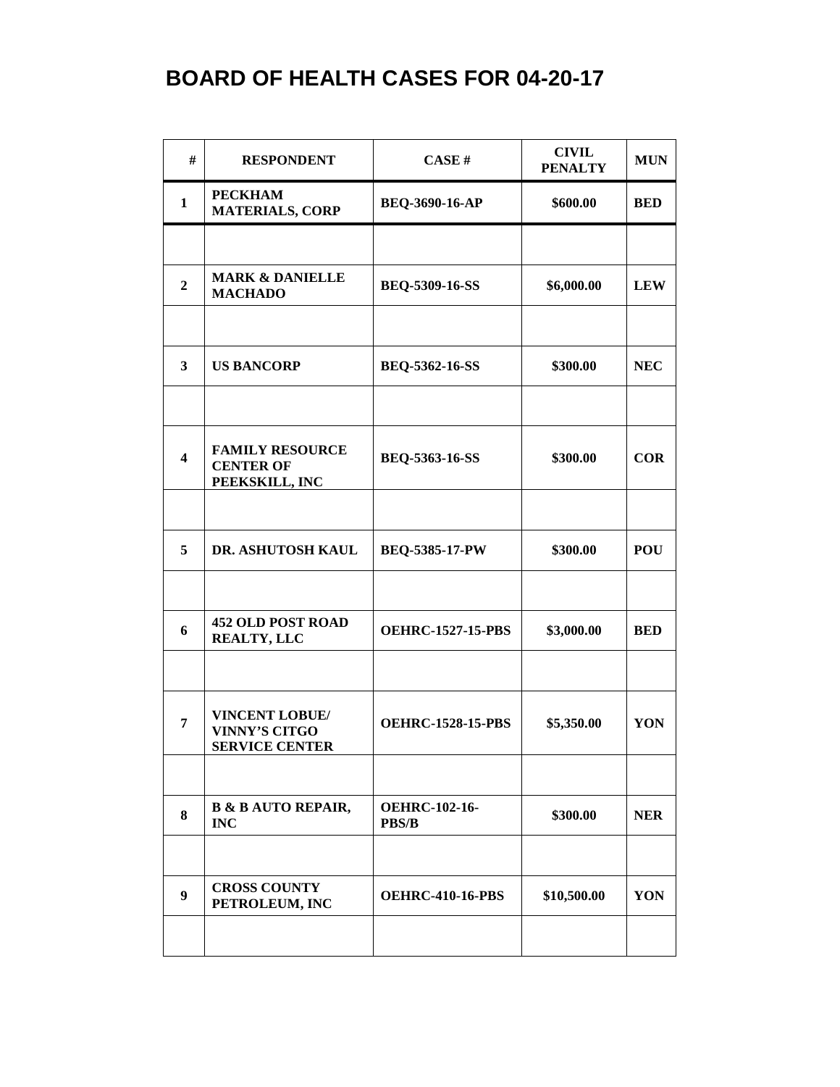| #                       | <b>RESPONDENT</b>                                                      | CASE#                                | <b>CIVIL</b><br><b>PENALTY</b> | <b>MUN</b> |
|-------------------------|------------------------------------------------------------------------|--------------------------------------|--------------------------------|------------|
| $\mathbf{1}$            | <b>PECKHAM</b><br><b>MATERIALS, CORP</b>                               | BEQ-3690-16-AP                       | \$600.00                       | <b>BED</b> |
|                         |                                                                        |                                      |                                |            |
| $\overline{2}$          | <b>MARK &amp; DANIELLE</b><br><b>MACHADO</b>                           | BEQ-5309-16-SS                       | \$6,000.00                     | <b>LEW</b> |
|                         |                                                                        |                                      |                                |            |
| $\overline{\mathbf{3}}$ | <b>US BANCORP</b>                                                      | <b>BEQ-5362-16-SS</b>                | \$300.00                       | <b>NEC</b> |
| $\overline{\mathbf{4}}$ | <b>FAMILY RESOURCE</b><br><b>CENTER OF</b><br>PEEKSKILL, INC           | <b>BEQ-5363-16-SS</b>                | \$300.00                       | <b>COR</b> |
|                         |                                                                        |                                      |                                |            |
| 5                       | DR. ASHUTOSH KAUL                                                      | BEQ-5385-17-PW                       | \$300.00                       | <b>POU</b> |
| 6                       | <b>452 OLD POST ROAD</b><br><b>REALTY, LLC</b>                         | <b>OEHRC-1527-15-PBS</b>             | \$3,000.00                     | <b>BED</b> |
|                         |                                                                        |                                      |                                |            |
| $\overline{7}$          | <b>VINCENT LOBUE/</b><br><b>VINNY'S CITGO</b><br><b>SERVICE CENTER</b> | <b>OEHRC-1528-15-PBS</b>             | \$5,350.00                     | YON        |
|                         |                                                                        |                                      |                                |            |
| 8                       | <b>B &amp; B AUTO REPAIR,</b><br><b>INC</b>                            | <b>OEHRC-102-16-</b><br><b>PBS/B</b> | \$300.00                       | <b>NER</b> |
|                         |                                                                        |                                      |                                |            |
| $\boldsymbol{9}$        | <b>CROSS COUNTY</b><br>PETROLEUM, INC                                  | <b>OEHRC-410-16-PBS</b>              | \$10,500.00                    | YON        |
|                         |                                                                        |                                      |                                |            |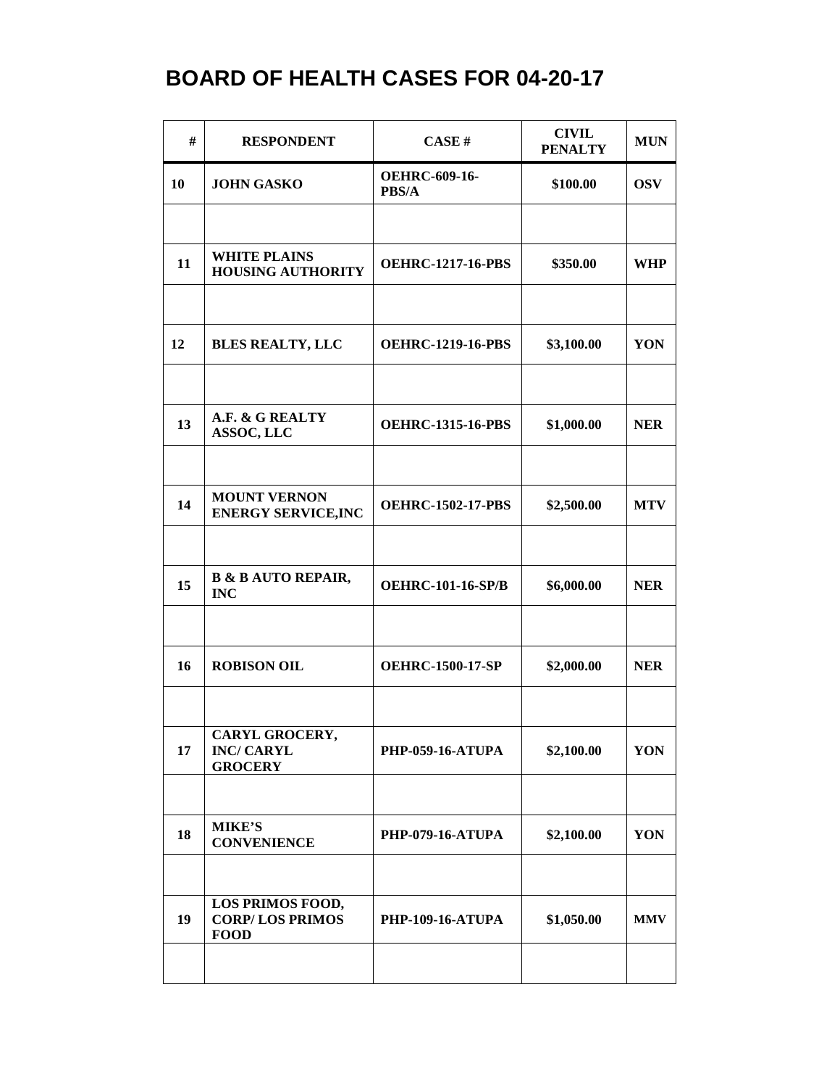| #  | <b>RESPONDENT</b>                                         | <b>CASE#</b>                  | <b>CIVIL</b><br><b>PENALTY</b> | <b>MUN</b> |
|----|-----------------------------------------------------------|-------------------------------|--------------------------------|------------|
| 10 | <b>JOHN GASKO</b>                                         | <b>OEHRC-609-16-</b><br>PBS/A | \$100.00                       | <b>OSV</b> |
|    |                                                           |                               |                                |            |
| 11 | <b>WHITE PLAINS</b><br><b>HOUSING AUTHORITY</b>           | <b>OEHRC-1217-16-PBS</b>      | \$350.00                       | <b>WHP</b> |
|    |                                                           |                               |                                |            |
| 12 | <b>BLES REALTY, LLC</b>                                   | <b>OEHRC-1219-16-PBS</b>      | \$3,100.00                     | YON        |
|    |                                                           |                               |                                |            |
| 13 | A.F. & G REALTY<br><b>ASSOC, LLC</b>                      | <b>OEHRC-1315-16-PBS</b>      | \$1,000.00                     | <b>NER</b> |
|    |                                                           |                               |                                |            |
| 14 | <b>MOUNT VERNON</b><br><b>ENERGY SERVICE, INC</b>         | <b>OEHRC-1502-17-PBS</b>      | \$2,500.00                     | <b>MTV</b> |
|    |                                                           |                               |                                |            |
| 15 | <b>B &amp; B AUTO REPAIR,</b><br><b>INC</b>               | <b>OEHRC-101-16-SP/B</b>      | \$6,000.00                     | <b>NER</b> |
|    |                                                           |                               |                                |            |
| 16 | <b>ROBISON OIL</b>                                        | <b>OEHRC-1500-17-SP</b>       | \$2,000.00                     | <b>NER</b> |
|    |                                                           |                               |                                |            |
| 17 | CARYL GROCERY,<br><b>INC/ CARYL</b><br><b>GROCERY</b>     | <b>PHP-059-16-ATUPA</b>       | \$2,100.00                     | YON        |
|    |                                                           |                               |                                |            |
| 18 | <b>MIKE'S</b><br><b>CONVENIENCE</b>                       | <b>PHP-079-16-ATUPA</b>       | \$2,100.00                     | YON        |
|    |                                                           |                               |                                |            |
| 19 | LOS PRIMOS FOOD,<br><b>CORP/LOS PRIMOS</b><br><b>FOOD</b> | <b>PHP-109-16-ATUPA</b>       | \$1,050.00                     | <b>MMV</b> |
|    |                                                           |                               |                                |            |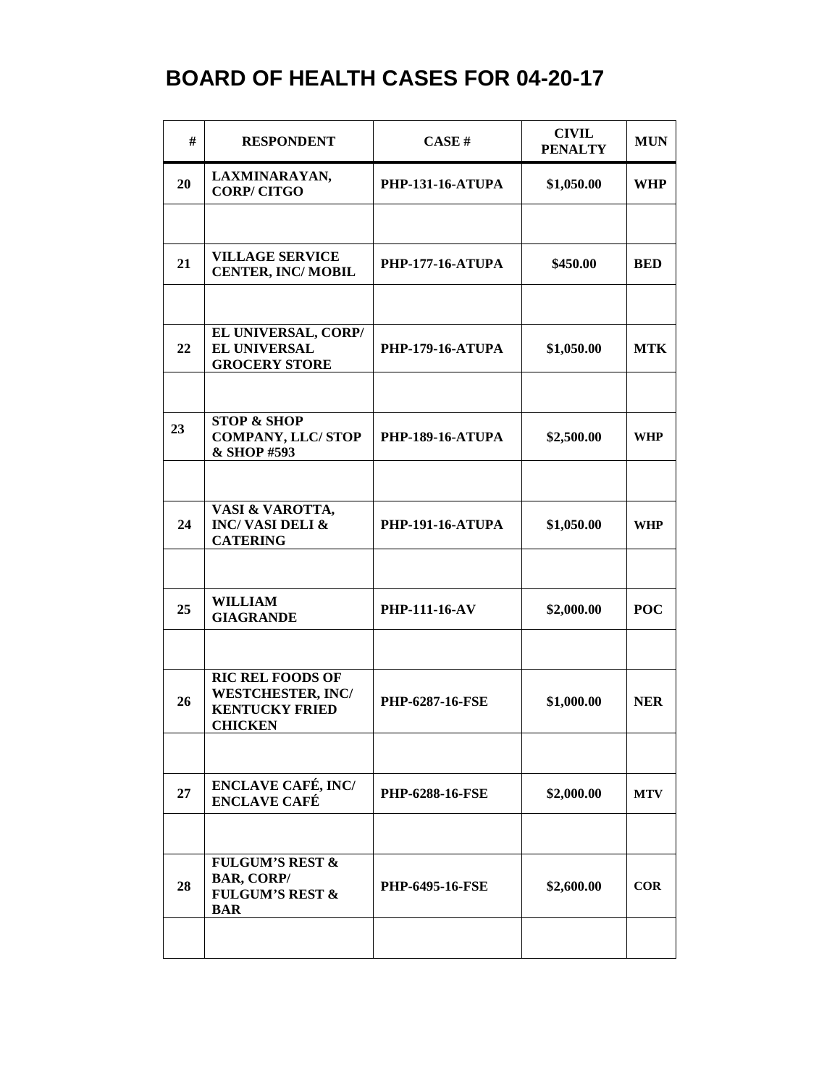| #  | <b>RESPONDENT</b>                                                                              | CASE#                   | <b>CIVIL</b><br><b>PENALTY</b> | <b>MUN</b> |
|----|------------------------------------------------------------------------------------------------|-------------------------|--------------------------------|------------|
| 20 | LAXMINARAYAN,<br><b>CORP/CITGO</b>                                                             | <b>PHP-131-16-ATUPA</b> | \$1,050.00                     | <b>WHP</b> |
|    |                                                                                                |                         |                                |            |
| 21 | <b>VILLAGE SERVICE</b><br><b>CENTER, INC/MOBIL</b>                                             | <b>PHP-177-16-ATUPA</b> | \$450.00                       | <b>BED</b> |
|    |                                                                                                |                         |                                |            |
| 22 | EL UNIVERSAL, CORP/<br>EL UNIVERSAL<br><b>GROCERY STORE</b>                                    | <b>PHP-179-16-ATUPA</b> | \$1,050.00                     | <b>MTK</b> |
|    |                                                                                                |                         |                                |            |
| 23 | <b>STOP &amp; SHOP</b><br><b>COMPANY, LLC/STOP</b><br>& SHOP #593                              | <b>PHP-189-16-ATUPA</b> | \$2,500.00                     | WHP        |
|    |                                                                                                |                         |                                |            |
| 24 | VASI & VAROTTA,<br><b>INC/VASI DELI &amp;</b><br><b>CATERING</b>                               | <b>PHP-191-16-ATUPA</b> | \$1,050.00                     | WHP        |
|    |                                                                                                |                         |                                |            |
| 25 | <b>WILLIAM</b><br><b>GIAGRANDE</b>                                                             | <b>PHP-111-16-AV</b>    | \$2,000.00                     | <b>POC</b> |
|    |                                                                                                |                         |                                |            |
| 26 | <b>RIC REL FOODS OF</b><br><b>WESTCHESTER, INC/</b><br><b>KENTUCKY FRIED</b><br><b>CHICKEN</b> | <b>PHP-6287-16-FSE</b>  | \$1,000.00                     | <b>NER</b> |
|    |                                                                                                |                         |                                |            |
| 27 | <b>ENCLAVE CAFÉ, INC/</b><br><b>ENCLAVE CAFÉ</b>                                               | <b>PHP-6288-16-FSE</b>  | \$2,000.00                     | <b>MTV</b> |
|    |                                                                                                |                         |                                |            |
| 28 | <b>FULGUM'S REST &amp;</b><br><b>BAR, CORP/</b><br><b>FULGUM'S REST &amp;</b><br><b>BAR</b>    | <b>PHP-6495-16-FSE</b>  | \$2,600.00                     | <b>COR</b> |
|    |                                                                                                |                         |                                |            |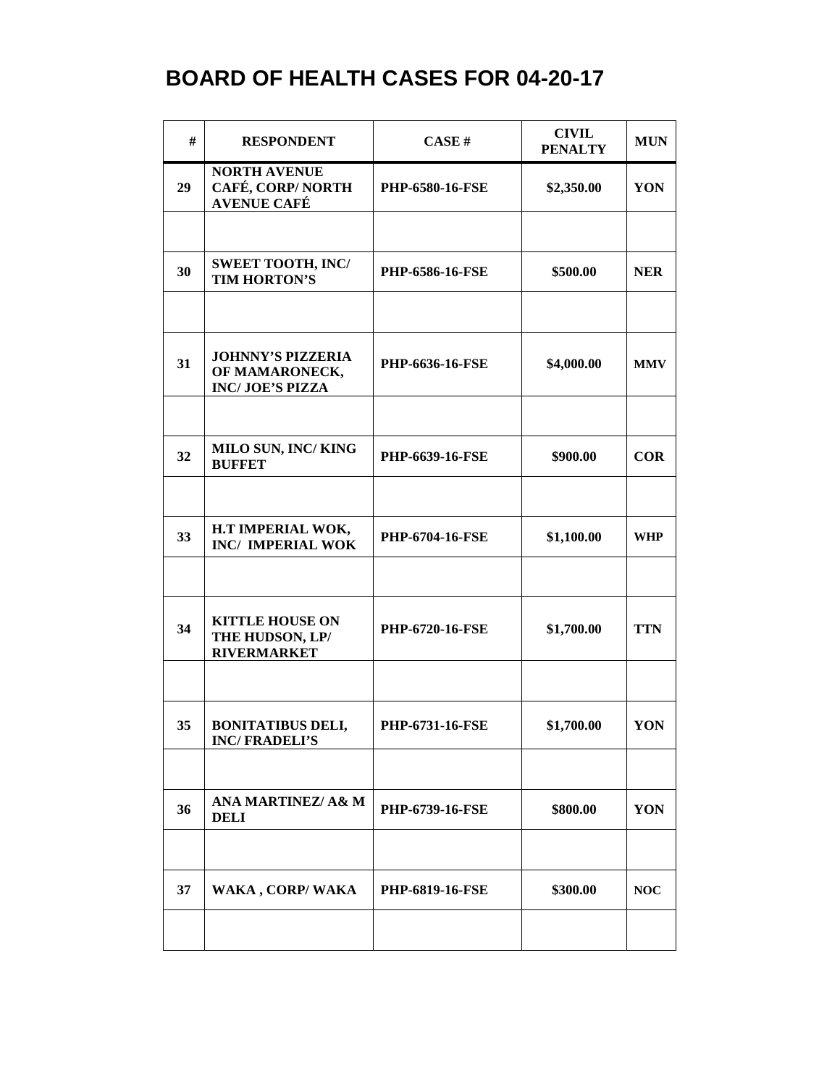| #  | <b>RESPONDENT</b>                                                    | CASE#                  | <b>CIVIL</b><br><b>PENALTY</b> | <b>MUN</b> |
|----|----------------------------------------------------------------------|------------------------|--------------------------------|------------|
| 29 | <b>NORTH AVENUE</b><br>CAFÉ, CORP/NORTH<br><b>AVENUE CAFÉ</b>        | <b>PHP-6580-16-FSE</b> | \$2,350.00                     | YON        |
|    |                                                                      |                        |                                |            |
| 30 | <b>SWEET TOOTH, INC/</b><br>TIM HORTON'S                             | <b>PHP-6586-16-FSE</b> | \$500.00                       | <b>NER</b> |
|    |                                                                      |                        |                                |            |
| 31 | <b>JOHNNY'S PIZZERIA</b><br>OF MAMARONECK,<br><b>INC/JOE'S PIZZA</b> | PHP-6636-16-FSE        | \$4,000.00                     | <b>MMV</b> |
|    |                                                                      |                        |                                |            |
| 32 | MILO SUN, INC/KING<br><b>BUFFET</b>                                  | PHP-6639-16-FSE        | \$900.00                       | <b>COR</b> |
|    |                                                                      |                        |                                |            |
| 33 | H.T IMPERIAL WOK,<br><b>INC/ IMPERIAL WOK</b>                        | PHP-6704-16-FSE        | \$1,100.00                     | <b>WHP</b> |
|    |                                                                      |                        |                                |            |
| 34 | <b>KITTLE HOUSE ON</b><br>THE HUDSON, LP/<br><b>RIVERMARKET</b>      | <b>PHP-6720-16-FSE</b> | \$1,700.00                     | <b>TTN</b> |
|    |                                                                      |                        |                                |            |
| 35 | <b>BONITATIBUS DELI,</b><br><b>INC/FRADELI'S</b>                     | PHP-6731-16-FSE        | \$1,700.00                     | YON        |
|    |                                                                      |                        |                                |            |
| 36 | <b>ANA MARTINEZ/ A&amp; M</b><br><b>DELI</b>                         | <b>PHP-6739-16-FSE</b> | \$800.00                       | YON        |
|    |                                                                      |                        |                                |            |
| 37 | WAKA, CORP/WAKA                                                      | <b>PHP-6819-16-FSE</b> | \$300.00                       | NOC        |
|    |                                                                      |                        |                                |            |